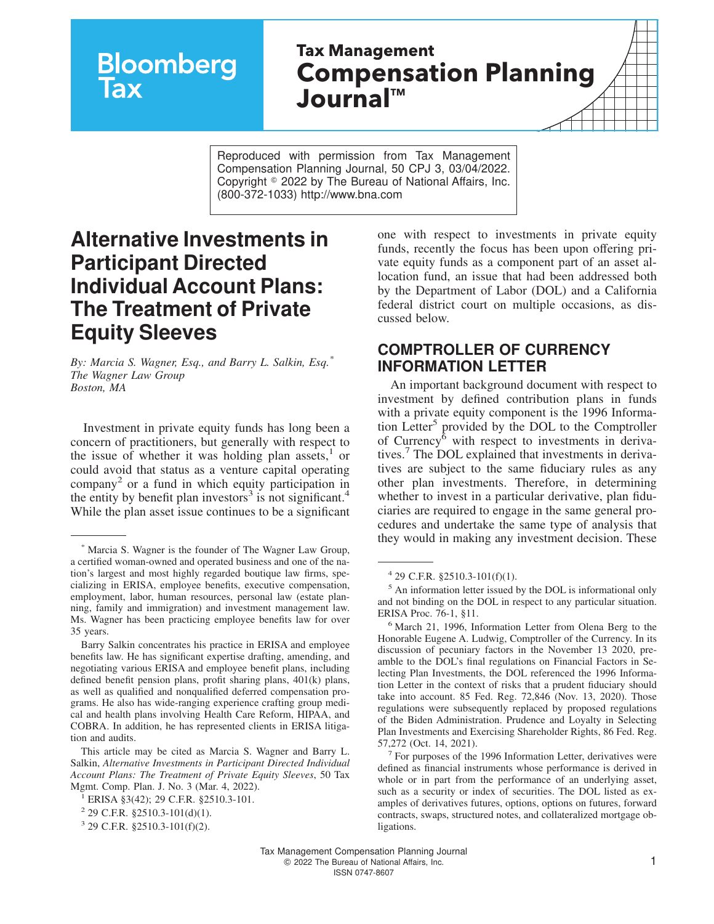# **Bloomberg**

## **Tax Management Compensation Planning Journal™**

Reproduced with permission from Tax Management Compensation Planning Journal, 50 CPJ 3, 03/04/2022. Copyright  $\degree$  2022 by The Bureau of National Affairs, Inc. (800-372-1033) http://www.bna.com

### **Alternative Investments in Participant Directed Individual Account Plans: The Treatment of Private Equity Sleeves**

*By: Marcia S. Wagner, Esq., and Barry L. Salkin, Esq.\* The Wagner Law Group Boston, MA*

Investment in private equity funds has long been a concern of practitioners, but generally with respect to the issue of whether it was holding plan assets, $1$  or could avoid that status as a venture capital operating company<sup>2</sup> or a fund in which equity participation in the entity by benefit plan investors<sup>3</sup> is not significant.<sup>4</sup> While the plan asset issue continues to be a significant

one with respect to investments in private equity funds, recently the focus has been upon offering private equity funds as a component part of an asset allocation fund, an issue that had been addressed both by the Department of Labor (DOL) and a California federal district court on multiple occasions, as discussed below.

#### **COMPTROLLER OF CURRENCY INFORMATION LETTER**

An important background document with respect to investment by defined contribution plans in funds with a private equity component is the [1996 Informa](https://www.dol.gov/agencies/ebsa/about-ebsa/our-activities/resource-center/information-letters/03-21-1996)[tion Letter](https://www.dol.gov/agencies/ebsa/about-ebsa/our-activities/resource-center/information-letters/03-21-1996)<sup>5</sup> provided by the DOL to the Comptroller of Currency<sup>6</sup> with respect to investments in derivatives.<sup>7</sup> The DOL explained that investments in derivatives are subject to the same fiduciary rules as any other plan investments. Therefore, in determining whether to invest in a particular derivative, plan fiduciaries are required to engage in the same general procedures and undertake the same type of analysis that they would in making any investment decision. These

Marcia S. Wagner is the founder of The Wagner Law Group, a certified woman-owned and operated business and one of the nation's largest and most highly regarded boutique law firms, specializing in ERISA, employee benefits, executive compensation, employment, labor, human resources, personal law (estate planning, family and immigration) and investment management law. Ms. Wagner has been practicing employee benefits law for over 35 years.

Barry Salkin concentrates his practice in ERISA and employee benefits law. He has significant expertise drafting, amending, and negotiating various ERISA and employee benefit plans, including defined benefit pension plans, profit sharing plans, 401(k) plans, as well as qualified and nonqualified deferred compensation programs. He also has wide-ranging experience crafting group medical and health plans involving Health Care Reform, HIPAA, and COBRA. In addition, he has represented clients in ERISA litigation and audits.

This article may be cited as Marcia S. Wagner and Barry L. Salkin, *Alternative Investments in Participant Directed Individual Account Plans: The Treatment of Private Equity Sleeves*, 50 Tax Mgmt. Comp. Plan. J. No. 3 (Mar. 4, 2022).

<sup>1</sup> ERISA §3(42); 29 C.F.R. §2510.3-101.

 $2$  29 C.F.R. §2510.3-101(d)(1).

<sup>3</sup> 29 C.F.R. §2510.3-101(f)(2).

<sup>4</sup> 29 C.F.R. §2510.3-101(f)(1).

<sup>5</sup> An information letter issued by the DOL is informational only and not binding on the DOL in respect to any particular situation. ERISA Proc. 76-1, §11.

<sup>6</sup> March 21, 1996, Information Letter from Olena Berg to the Honorable Eugene A. Ludwig, Comptroller of the Currency. In its discussion of pecuniary factors in the November 13 2020, preamble to the DOL's final regulations on Financial Factors in Selecting Plan Investments, the DOL referenced the 1996 Information Letter in the context of risks that a prudent fiduciary should take into account. 85 Fed. Reg. 72,846 (Nov. 13, 2020). Those regulations were subsequently replaced by proposed regulations of the Biden Administration. Prudence and Loyalty in Selecting Plan Investments and Exercising Shareholder Rights, 86 Fed. Reg. 57,272 (Oct. 14, 2021).

<sup>7</sup> For purposes of the 1996 Information Letter, derivatives were defined as financial instruments whose performance is derived in whole or in part from the performance of an underlying asset, such as a security or index of securities. The DOL listed as examples of derivatives futures, options, options on futures, forward contracts, swaps, structured notes, and collateralized mortgage obligations.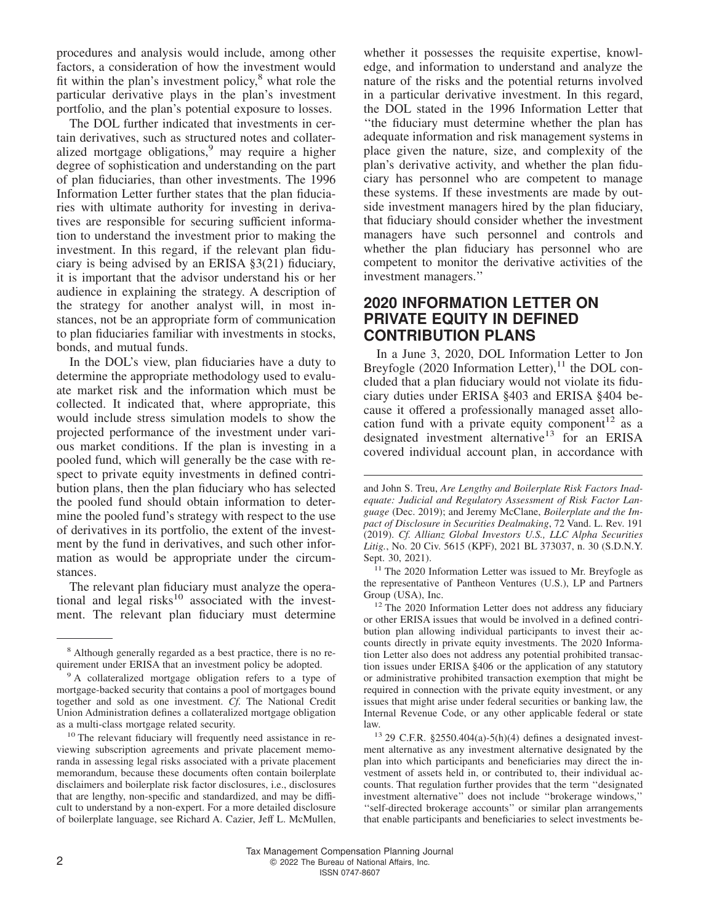procedures and analysis would include, among other factors, a consideration of how the investment would fit within the plan's investment policy, $8$  what role the particular derivative plays in the plan's investment portfolio, and the plan's potential exposure to losses.

The DOL further indicated that investments in certain derivatives, such as structured notes and collateralized mortgage obligations,<sup>9</sup> may require a higher degree of sophistication and understanding on the part of plan fiduciaries, than other investments. The 1996 Information Letter further states that the plan fiduciaries with ultimate authority for investing in derivatives are responsible for securing sufficient information to understand the investment prior to making the investment. In this regard, if the relevant plan fiduciary is being advised by an ERISA §3(21) fiduciary, it is important that the advisor understand his or her audience in explaining the strategy. A description of the strategy for another analyst will, in most instances, not be an appropriate form of communication to plan fiduciaries familiar with investments in stocks, bonds, and mutual funds.

In the DOL's view, plan fiduciaries have a duty to determine the appropriate methodology used to evaluate market risk and the information which must be collected. It indicated that, where appropriate, this would include stress simulation models to show the projected performance of the investment under various market conditions. If the plan is investing in a pooled fund, which will generally be the case with respect to private equity investments in defined contribution plans, then the plan fiduciary who has selected the pooled fund should obtain information to determine the pooled fund's strategy with respect to the use of derivatives in its portfolio, the extent of the investment by the fund in derivatives, and such other information as would be appropriate under the circumstances.

The relevant plan fiduciary must analyze the operational and legal risks $10$  associated with the investment. The relevant plan fiduciary must determine

whether it possesses the requisite expertise, knowledge, and information to understand and analyze the nature of the risks and the potential returns involved in a particular derivative investment. In this regard, the DOL stated in the 1996 Information Letter that ''the fiduciary must determine whether the plan has adequate information and risk management systems in place given the nature, size, and complexity of the plan's derivative activity, and whether the plan fiduciary has personnel who are competent to manage these systems. If these investments are made by outside investment managers hired by the plan fiduciary, that fiduciary should consider whether the investment managers have such personnel and controls and whether the plan fiduciary has personnel who are competent to monitor the derivative activities of the investment managers.''

#### **2020 INFORMATION LETTER ON PRIVATE EQUITY IN DEFINED CONTRIBUTION PLANS**

In a June 3, 2020, [DOL Information Letter](https://www.dol.gov/agencies/ebsa/about-ebsa/our-activities/resource-center/information-letters/06-03-2020) to Jon Breyfogle (2020 Information Letter), $^{11}$  the DOL concluded that a plan fiduciary would not violate its fiduciary duties under ERISA §403 and ERISA §404 because it offered a professionally managed asset allocation fund with a private equity component<sup>12</sup> as a designated investment alternative<sup>13</sup> for an ERISA covered individual account plan, in accordance with

<sup>11</sup> The 2020 Information Letter was issued to Mr. Breyfogle as the representative of Pantheon Ventures (U.S.), LP and Partners Group (USA), Inc.

<sup>12</sup> The 2020 Information Letter does not address any fiduciary or other ERISA issues that would be involved in a defined contribution plan allowing individual participants to invest their accounts directly in private equity investments. The 2020 Information Letter also does not address any potential prohibited transaction issues under ERISA §406 or the application of any statutory or administrative prohibited transaction exemption that might be required in connection with the private equity investment, or any issues that might arise under federal securities or banking law, the Internal Revenue Code, or any other applicable federal or state law.

 $13$  29 C.F.R. §2550.404(a)-5(h)(4) defines a designated investment alternative as any investment alternative designated by the plan into which participants and beneficiaries may direct the investment of assets held in, or contributed to, their individual accounts. That regulation further provides that the term ''designated investment alternative'' does not include ''brokerage windows,'' ''self-directed brokerage accounts'' or similar plan arrangements that enable participants and beneficiaries to select investments be-

<sup>8</sup> Although generally regarded as a best practice, there is no requirement under ERISA that an investment policy be adopted.

<sup>&</sup>lt;sup>9</sup> A collateralized mortgage obligation refers to a type of mortgage-backed security that contains a pool of mortgages bound together and sold as one investment. *Cf.* The National Credit Union Administration defines a collateralized mortgage obligation as a multi-class mortgage related security.

<sup>&</sup>lt;sup>10</sup> The relevant fiduciary will frequently need assistance in reviewing subscription agreements and private placement memoranda in assessing legal risks associated with a private placement memorandum, because these documents often contain boilerplate disclaimers and boilerplate risk factor disclosures, i.e., disclosures that are lengthy, non-specific and standardized, and may be difficult to understand by a non-expert. For a more detailed disclosure of boilerplate language, see Richard A. Cazier, Jeff L. McMullen,

and John S. Treu, *Are Lengthy and Boilerplate Risk Factors Inadequate: Judicial and Regulatory Assessment of Risk Factor Language* (Dec. 2019); and Jeremy McClane, *Boilerplate and the Impact of Disclosure in Securities Dealmaking*, 72 Vand. L. Rev. 191 (2019). *Cf. Allianz Global Investors U.S., LLC Alpha Securities Litig.*, No. 20 Civ. 5615 (KPF), 2021 BL 373037, n. 30 (S.D.N.Y. Sept. 30, 2021).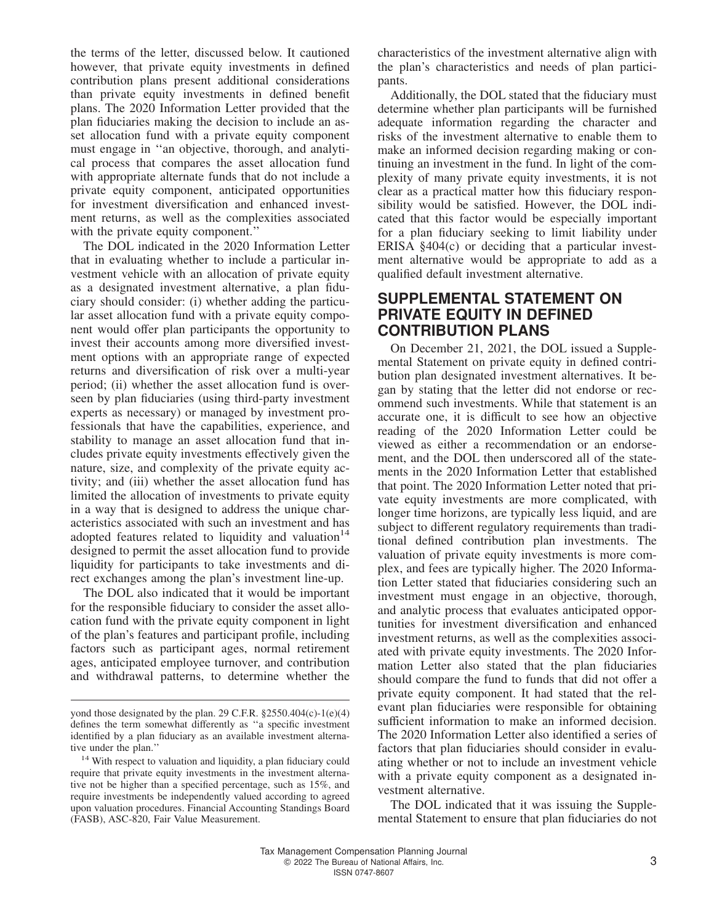the terms of the letter, discussed below. It cautioned however, that private equity investments in defined contribution plans present additional considerations than private equity investments in defined benefit plans. The 2020 Information Letter provided that the plan fiduciaries making the decision to include an asset allocation fund with a private equity component must engage in ''an objective, thorough, and analytical process that compares the asset allocation fund with appropriate alternate funds that do not include a private equity component, anticipated opportunities for investment diversification and enhanced investment returns, as well as the complexities associated with the private equity component."

The DOL indicated in the 2020 Information Letter that in evaluating whether to include a particular investment vehicle with an allocation of private equity as a designated investment alternative, a plan fiduciary should consider: (i) whether adding the particular asset allocation fund with a private equity component would offer plan participants the opportunity to invest their accounts among more diversified investment options with an appropriate range of expected returns and diversification of risk over a multi-year period; (ii) whether the asset allocation fund is overseen by plan fiduciaries (using third-party investment experts as necessary) or managed by investment professionals that have the capabilities, experience, and stability to manage an asset allocation fund that includes private equity investments effectively given the nature, size, and complexity of the private equity activity; and (iii) whether the asset allocation fund has limited the allocation of investments to private equity in a way that is designed to address the unique characteristics associated with such an investment and has adopted features related to liquidity and valuation $14$ designed to permit the asset allocation fund to provide liquidity for participants to take investments and direct exchanges among the plan's investment line-up.

The DOL also indicated that it would be important for the responsible fiduciary to consider the asset allocation fund with the private equity component in light of the plan's features and participant profile, including factors such as participant ages, normal retirement ages, anticipated employee turnover, and contribution and withdrawal patterns, to determine whether the

characteristics of the investment alternative align with the plan's characteristics and needs of plan participants.

Additionally, the DOL stated that the fiduciary must determine whether plan participants will be furnished adequate information regarding the character and risks of the investment alternative to enable them to make an informed decision regarding making or continuing an investment in the fund. In light of the complexity of many private equity investments, it is not clear as a practical matter how this fiduciary responsibility would be satisfied. However, the DOL indicated that this factor would be especially important for a plan fiduciary seeking to limit liability under ERISA §404(c) or deciding that a particular investment alternative would be appropriate to add as a qualified default investment alternative.

#### **SUPPLEMENTAL STATEMENT ON PRIVATE EQUITY IN DEFINED CONTRIBUTION PLANS**

On December 21, 2021, the DOL issued a [Supple](https://www.dol.gov/agencies/ebsa/about-ebsa/our-activities/resource-center/information-letters/06-03-2020-supplemental-statement)[mental Statement](https://www.dol.gov/agencies/ebsa/about-ebsa/our-activities/resource-center/information-letters/06-03-2020-supplemental-statement) on private equity in defined contribution plan designated investment alternatives. It began by stating that the letter did not endorse or recommend such investments. While that statement is an accurate one, it is difficult to see how an objective reading of the 2020 Information Letter could be viewed as either a recommendation or an endorsement, and the DOL then underscored all of the statements in the 2020 Information Letter that established that point. The 2020 Information Letter noted that private equity investments are more complicated, with longer time horizons, are typically less liquid, and are subject to different regulatory requirements than traditional defined contribution plan investments. The valuation of private equity investments is more complex, and fees are typically higher. The 2020 Information Letter stated that fiduciaries considering such an investment must engage in an objective, thorough, and analytic process that evaluates anticipated opportunities for investment diversification and enhanced investment returns, as well as the complexities associated with private equity investments. The 2020 Information Letter also stated that the plan fiduciaries should compare the fund to funds that did not offer a private equity component. It had stated that the relevant plan fiduciaries were responsible for obtaining sufficient information to make an informed decision. The 2020 Information Letter also identified a series of factors that plan fiduciaries should consider in evaluating whether or not to include an investment vehicle with a private equity component as a designated investment alternative.

The DOL indicated that it was issuing the Supplemental Statement to ensure that plan fiduciaries do not

yond those designated by the plan. 29 C.F.R. §2550.404(c)-1(e)(4) defines the term somewhat differently as ''a specific investment identified by a plan fiduciary as an available investment alternative under the plan.''

<sup>&</sup>lt;sup>14</sup> With respect to valuation and liquidity, a plan fiduciary could require that private equity investments in the investment alternative not be higher than a specified percentage, such as 15%, and require investments be independently valued according to agreed upon valuation procedures. Financial Accounting Standings Board (FASB), ASC-820, Fair Value Measurement.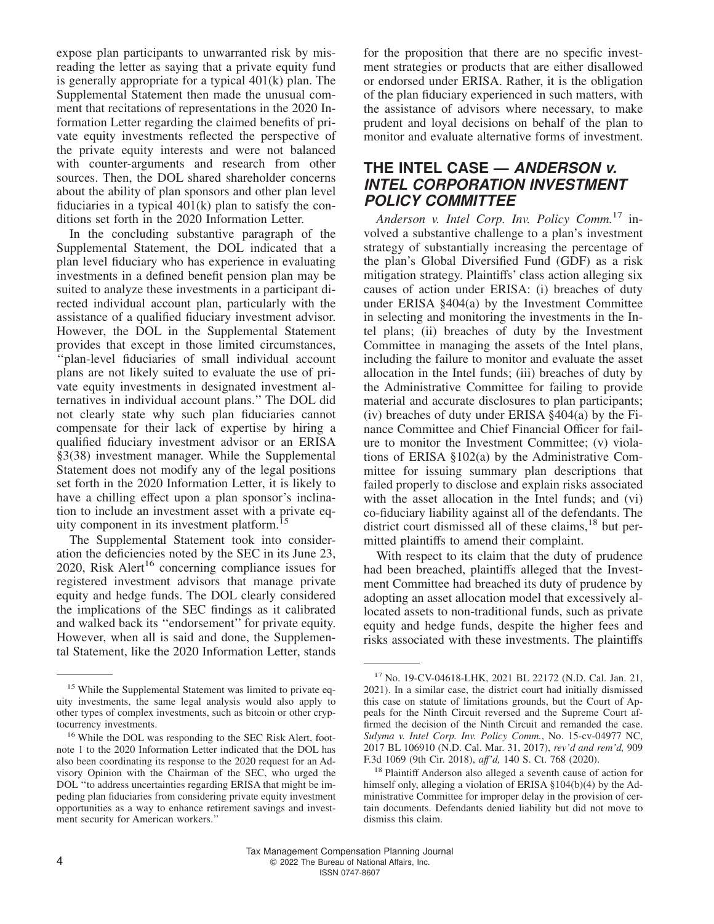expose plan participants to unwarranted risk by misreading the letter as saying that a private equity fund is generally appropriate for a typical 401(k) plan. The Supplemental Statement then made the unusual comment that recitations of representations in the 2020 Information Letter regarding the claimed benefits of private equity investments reflected the perspective of the private equity interests and were not balanced with counter-arguments and research from other sources. Then, the DOL shared shareholder concerns about the ability of plan sponsors and other plan level fiduciaries in a typical 401(k) plan to satisfy the conditions set forth in the 2020 Information Letter.

In the concluding substantive paragraph of the Supplemental Statement, the DOL indicated that a plan level fiduciary who has experience in evaluating investments in a defined benefit pension plan may be suited to analyze these investments in a participant directed individual account plan, particularly with the assistance of a qualified fiduciary investment advisor. However, the DOL in the Supplemental Statement provides that except in those limited circumstances, ''plan-level fiduciaries of small individual account plans are not likely suited to evaluate the use of private equity investments in designated investment alternatives in individual account plans.'' The DOL did not clearly state why such plan fiduciaries cannot compensate for their lack of expertise by hiring a qualified fiduciary investment advisor or an ERISA §3(38) investment manager. While the Supplemental Statement does not modify any of the legal positions set forth in the 2020 Information Letter, it is likely to have a chilling effect upon a plan sponsor's inclination to include an investment asset with a private equity component in its investment platform.<sup>1</sup>

The Supplemental Statement took into consideration the deficiencies noted by the SEC in its June 23, 2020, [Risk Alert](https://www.sec.gov/files/Private%20Fund%20Risk%20Alert_0.pdf)<sup>16</sup> concerning compliance issues for registered investment advisors that manage private equity and hedge funds. The DOL clearly considered the implications of the SEC findings as it calibrated and walked back its ''endorsement'' for private equity. However, when all is said and done, the Supplemental Statement, like the 2020 Information Letter, stands

for the proposition that there are no specific investment strategies or products that are either disallowed or endorsed under ERISA. Rather, it is the obligation of the plan fiduciary experienced in such matters, with the assistance of advisors where necessary, to make prudent and loyal decisions on behalf of the plan to monitor and evaluate alternative forms of investment.

#### **THE INTEL CASE — ANDERSON v. INTEL CORPORATION INVESTMENT POLICY COMMITTEE**

*Anderson v. Intel Corp. Inv. Policy Comm.*<sup>17</sup> involved a substantive challenge to a plan's investment strategy of substantially increasing the percentage of the plan's Global Diversified Fund (GDF) as a risk mitigation strategy. Plaintiffs' class action alleging six causes of action under ERISA: (i) breaches of duty under ERISA §404(a) by the Investment Committee in selecting and monitoring the investments in the Intel plans; (ii) breaches of duty by the Investment Committee in managing the assets of the Intel plans, including the failure to monitor and evaluate the asset allocation in the Intel funds; (iii) breaches of duty by the Administrative Committee for failing to provide material and accurate disclosures to plan participants; (iv) breaches of duty under ERISA  $§$ 404(a) by the Finance Committee and Chief Financial Officer for failure to monitor the Investment Committee; (v) violations of ERISA §102(a) by the Administrative Committee for issuing summary plan descriptions that failed properly to disclose and explain risks associated with the asset allocation in the Intel funds; and (vi) co-fiduciary liability against all of the defendants. The district court dismissed all of these claims, $^{18}$  but permitted plaintiffs to amend their complaint.

With respect to its claim that the duty of prudence had been breached, plaintiffs alleged that the Investment Committee had breached its duty of prudence by adopting an asset allocation model that excessively allocated assets to non-traditional funds, such as private equity and hedge funds, despite the higher fees and risks associated with these investments. The plaintiffs

<sup>&</sup>lt;sup>15</sup> While the Supplemental Statement was limited to private equity investments, the same legal analysis would also apply to other types of complex investments, such as bitcoin or other cryptocurrency investments.

<sup>16</sup> While the DOL was responding to the SEC Risk Alert, footnote 1 to the 2020 Information Letter indicated that the DOL has also been coordinating its response to the 2020 request for an Advisory Opinion with the Chairman of the SEC, who urged the DOL ''to address uncertainties regarding ERISA that might be impeding plan fiduciaries from considering private equity investment opportunities as a way to enhance retirement savings and investment security for American workers.''

<sup>17</sup> No. 19-CV-04618-LHK, 2021 BL 22172 (N.D. Cal. Jan. 21, 2021). In a similar case, the district court had initially dismissed this case on statute of limitations grounds, but the Court of Appeals for the Ninth Circuit reversed and the Supreme Court affirmed the decision of the Ninth Circuit and remanded the case. *Sulyma v. Intel Corp. Inv. Policy Comm.*, No. 15-cv-04977 NC, 2017 BL 106910 (N.D. Cal. Mar. 31, 2017), *rev'd and rem'd,* 909 F.3d 1069 (9th Cir. 2018), *aff'd,* 140 S. Ct. 768 (2020).

<sup>&</sup>lt;sup>18</sup> Plaintiff Anderson also alleged a seventh cause of action for himself only, alleging a violation of ERISA §104(b)(4) by the Administrative Committee for improper delay in the provision of certain documents. Defendants denied liability but did not move to dismiss this claim.

Tax Management Compensation Planning Journal 4 C 2022 The Bureau of National Affairs, Inc. ISSN 0747-8607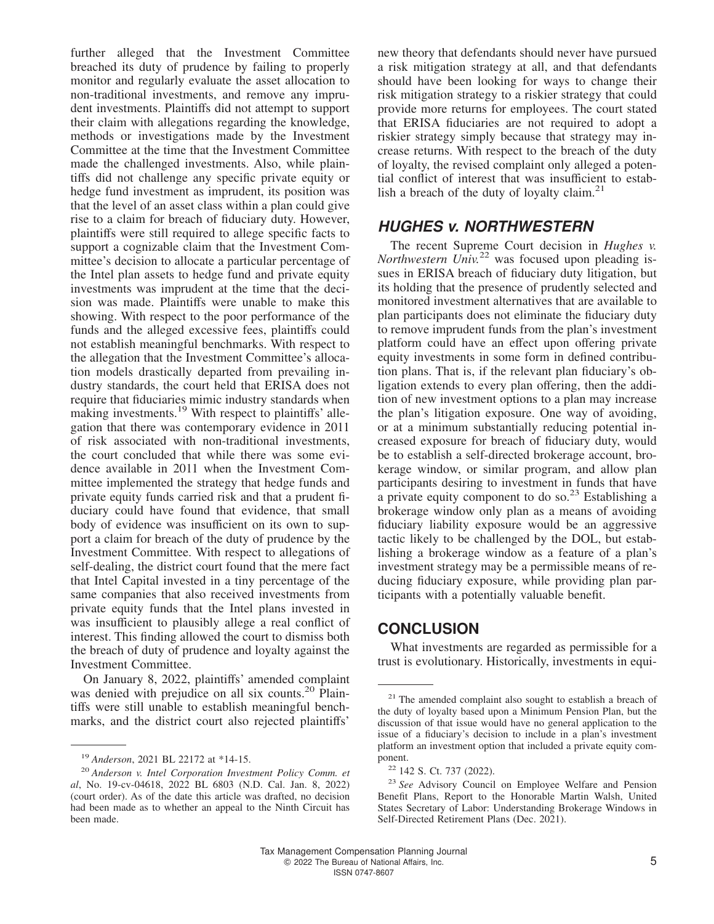further alleged that the Investment Committee breached its duty of prudence by failing to properly monitor and regularly evaluate the asset allocation to non-traditional investments, and remove any imprudent investments. Plaintiffs did not attempt to support their claim with allegations regarding the knowledge, methods or investigations made by the Investment Committee at the time that the Investment Committee made the challenged investments. Also, while plaintiffs did not challenge any specific private equity or hedge fund investment as imprudent, its position was that the level of an asset class within a plan could give rise to a claim for breach of fiduciary duty. However, plaintiffs were still required to allege specific facts to support a cognizable claim that the Investment Committee's decision to allocate a particular percentage of the Intel plan assets to hedge fund and private equity investments was imprudent at the time that the decision was made. Plaintiffs were unable to make this showing. With respect to the poor performance of the funds and the alleged excessive fees, plaintiffs could not establish meaningful benchmarks. With respect to the allegation that the Investment Committee's allocation models drastically departed from prevailing industry standards, the court held that ERISA does not require that fiduciaries mimic industry standards when making investments.<sup>19</sup> With respect to plaintiffs' allegation that there was contemporary evidence in 2011 of risk associated with non-traditional investments, the court concluded that while there was some evidence available in 2011 when the Investment Committee implemented the strategy that hedge funds and private equity funds carried risk and that a prudent fiduciary could have found that evidence, that small body of evidence was insufficient on its own to support a claim for breach of the duty of prudence by the Investment Committee. With respect to allegations of self-dealing, the district court found that the mere fact that Intel Capital invested in a tiny percentage of the same companies that also received investments from private equity funds that the Intel plans invested in was insufficient to plausibly allege a real conflict of interest. This finding allowed the court to dismiss both the breach of duty of prudence and loyalty against the Investment Committee.

On January 8, 2022, plaintiffs' amended complaint was denied with prejudice on all six counts.<sup>20</sup> Plaintiffs were still unable to establish meaningful benchmarks, and the district court also rejected plaintiffs'

<sup>19</sup> *Anderson*, 2021 BL 22172 at \*14-15.

new theory that defendants should never have pursued a risk mitigation strategy at all, and that defendants should have been looking for ways to change their risk mitigation strategy to a riskier strategy that could provide more returns for employees. The court stated that ERISA fiduciaries are not required to adopt a riskier strategy simply because that strategy may increase returns. With respect to the breach of the duty of loyalty, the revised complaint only alleged a potential conflict of interest that was insufficient to establish a breach of the duty of loyalty claim. $^{21}$ 

#### **HUGHES v. NORTHWESTERN**

The recent Supreme Court decision in *Hughes v. Northwestern Univ.*<sup>22</sup> was focused upon pleading issues in ERISA breach of fiduciary duty litigation, but its holding that the presence of prudently selected and monitored investment alternatives that are available to plan participants does not eliminate the fiduciary duty to remove imprudent funds from the plan's investment platform could have an effect upon offering private equity investments in some form in defined contribution plans. That is, if the relevant plan fiduciary's obligation extends to every plan offering, then the addition of new investment options to a plan may increase the plan's litigation exposure. One way of avoiding, or at a minimum substantially reducing potential increased exposure for breach of fiduciary duty, would be to establish a self-directed brokerage account, brokerage window, or similar program, and allow plan participants desiring to investment in funds that have a private equity component to do so. $^{23}$  Establishing a brokerage window only plan as a means of avoiding fiduciary liability exposure would be an aggressive tactic likely to be challenged by the DOL, but establishing a brokerage window as a feature of a plan's investment strategy may be a permissible means of reducing fiduciary exposure, while providing plan participants with a potentially valuable benefit.

#### **CONCLUSION**

What investments are regarded as permissible for a trust is evolutionary. Historically, investments in equi-

<sup>20</sup> *Anderson v. Intel Corporation Investment Policy Comm. et al*, No. 19-cv-04618, 2022 BL 6803 (N.D. Cal. Jan. 8, 2022) [\(court order\)](https://aboutbtax.com/1P5). As of the date this article was drafted, no decision had been made as to whether an appeal to the Ninth Circuit has been made.

<sup>&</sup>lt;sup>21</sup> The amended complaint also sought to establish a breach of the duty of loyalty based upon a Minimum Pension Plan, but the discussion of that issue would have no general application to the issue of a fiduciary's decision to include in a plan's investment platform an investment option that included a private equity component.

<sup>&</sup>lt;sup>22</sup> 142 S. Ct. 737 (2022).

<sup>23</sup> *See* Advisory Council on Employee Welfare and Pension Benefit Plans, Report to the Honorable Martin Walsh, United States Secretary of Labor: [Understanding Brokerage Windows in](https://www.dol.gov/sites/dolgov/files/EBSA/about-ebsa/about-us/erisa-advisory-council/2021-understanding-brokerage-windows-in-self-directed-retirement-plans.pdf) [Self-Directed Retirement Plans](https://www.dol.gov/sites/dolgov/files/EBSA/about-ebsa/about-us/erisa-advisory-council/2021-understanding-brokerage-windows-in-self-directed-retirement-plans.pdf) (Dec. 2021).